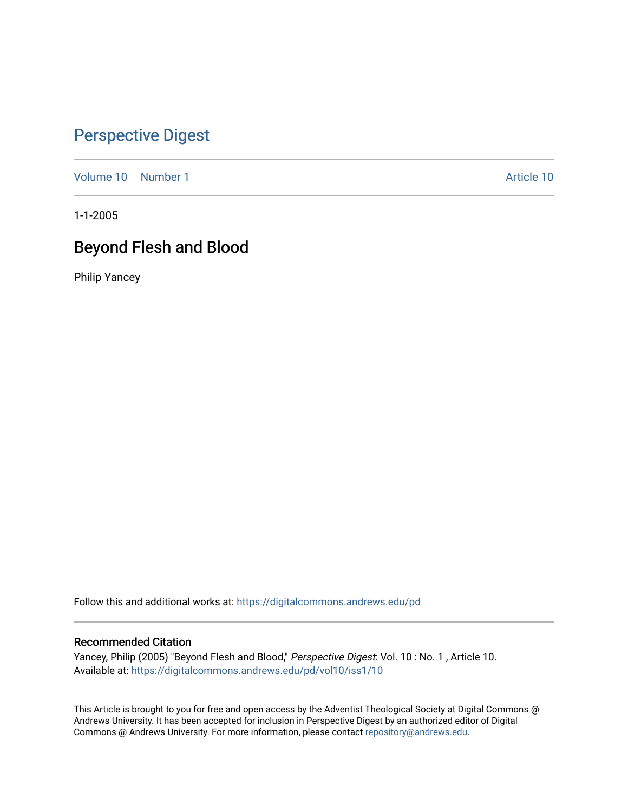# [Perspective Digest](https://digitalcommons.andrews.edu/pd)

[Volume 10](https://digitalcommons.andrews.edu/pd/vol10) [Number 1](https://digitalcommons.andrews.edu/pd/vol10/iss1) Article 10

1-1-2005

# Beyond Flesh and Blood

Philip Yancey

Follow this and additional works at: [https://digitalcommons.andrews.edu/pd](https://digitalcommons.andrews.edu/pd?utm_source=digitalcommons.andrews.edu%2Fpd%2Fvol10%2Fiss1%2F10&utm_medium=PDF&utm_campaign=PDFCoverPages)

## Recommended Citation

Yancey, Philip (2005) "Beyond Flesh and Blood," Perspective Digest: Vol. 10 : No. 1 , Article 10. Available at: [https://digitalcommons.andrews.edu/pd/vol10/iss1/10](https://digitalcommons.andrews.edu/pd/vol10/iss1/10?utm_source=digitalcommons.andrews.edu%2Fpd%2Fvol10%2Fiss1%2F10&utm_medium=PDF&utm_campaign=PDFCoverPages) 

This Article is brought to you for free and open access by the Adventist Theological Society at Digital Commons @ Andrews University. It has been accepted for inclusion in Perspective Digest by an authorized editor of Digital Commons @ Andrews University. For more information, please contact [repository@andrews.edu.](mailto:repository@andrews.edu)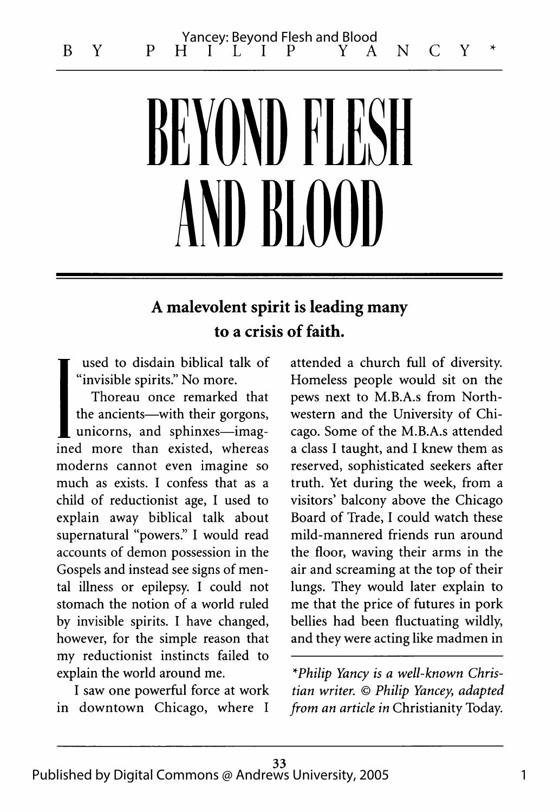# BEYOND FLE D BLOOD

## A malevolent spirit is leading many to a crisis of faith.

used to disdain biblical talk of "invisible spirits." No more.

Thoreau once remarked that the ancients—with their gorgons, unicorns, and sphinxes—imagined more than existed, whereas moderns cannot even imagine so much as exists. I confess that as a child of reductionist age, I used to explain away biblical talk about supernatural "powers." I would read accounts of demon possession in the Gospels and instead see signs of mental illness or epilepsy. I could not stomach the notion of a world ruled by invisible spirits. I have changed, however, for the simple reason that my reductionist instincts failed to explain the world around me.

I saw one powerful force at work in downtown Chicago, where I

attended a church full of diversity. Homeless people would sit on the pews next to M.B.A.s from Northwestern and the University of Chicago. Some of the M.B.A.s attended a class I taught, and I knew them as reserved, sophisticated seekers after truth. Yet during the week, from a visitors' balcony above the Chicago Board of Trade, I could watch these mild-mannered friends run around the floor, waving their arms in the air and screaming at the top of their lungs. They would later explain to me that the price of futures in pork bellies had been fluctuating wildly, and they were acting like madmen in \*

*\*Philip Yancy is a well-known Christian writer.* © *Philip Yancey*, *adapted from an article in* Christianity Today.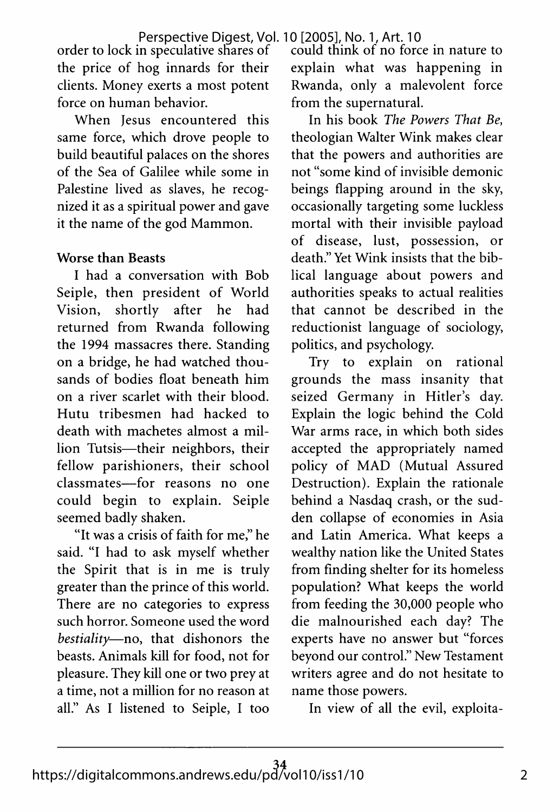order to lock in speculative shares of the price of hog innards for their clients. Money exerts a most potent force on human behavior.

When Jesus encountered this same force, which drove people to build beautiful palaces on the shores of the Sea of Galilee while some in Palestine lived as slaves, he recognized it as a spiritual power and gave it the name of the god Mammon.

## Worse than Beasts

I had a conversation with Bob Seiple, then president of World Vision, shortly after he had returned from Rwanda following the 1994 massacres there. Standing on a bridge, he had watched thousands of bodies float beneath him on a river scarlet with their blood. Hutu tribesmen had hacked to death with machetes almost a million Tutsis—their neighbors, their fellow parishioners, their school classmates— for reasons no one could begin to explain. Seiple seemed badly shaken.

"It was a crisis of faith for me," he said. "I had to ask myself whether the Spirit that is in me is truly greater than the prince of this world. There are no categories to express such horror. Someone used the word *bestiality*—no, that dishonors the beasts. Animals kill for food, not for pleasure. They kill one or two prey at a time, not a million for no reason at all." As I listened to Seiple, I too

could think of no force in nature to explain what was happening in Rwanda, only a malevolent force from the supernatural.

In his book *The Powers That Be*, theologian Walter Wink makes clear that the powers and authorities are not "some kind of invisible demonic beings flapping around in the sky, occasionally targeting some luckless mortal with their invisible payload of disease, lust, possession, or death." Yet Wink insists that the biblical language about powers and authorities speaks to actual realities that cannot be described in the reductionist language of sociology, politics, and psychology.

Try to explain on rational grounds the mass insanity that seized Germany in Hitler's day. Explain the logic behind the Cold War arms race, in which both sides accepted the appropriately named policy of MAD (Mutual Assured Destruction). Explain the rationale behind a Nasdaq crash, or the sudden collapse of economies in Asia and Latin America. What keeps a wealthy nation like the United States from finding shelter for its homeless population? What keeps the world from feeding the 30,000 people who die malnourished each day? The experts have no answer but "forces beyond our control." New Testament writers agree and do not hesitate to name those powers.

In view of all the evil, exploita-